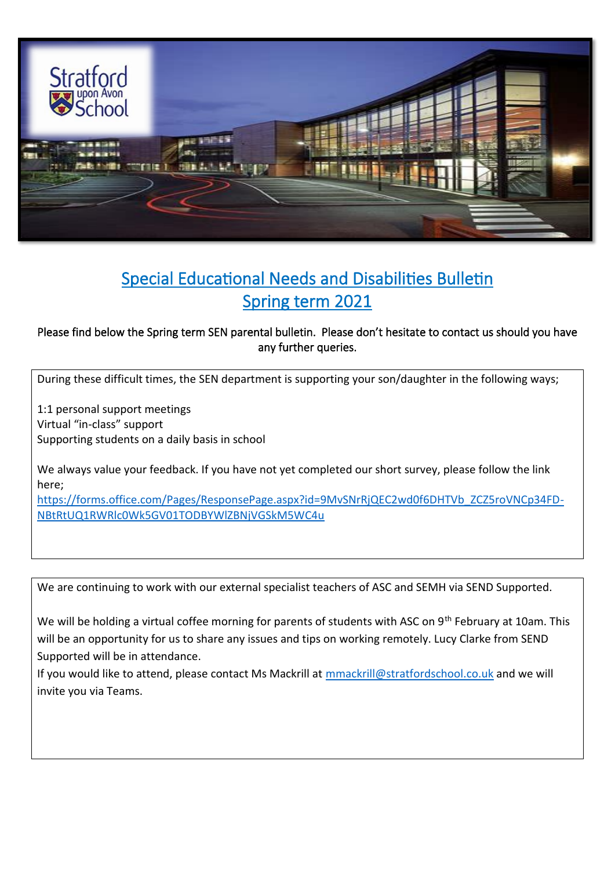

## Special Educational Needs and Disabilities Bulletin Spring term 2021

## Please find below the Spring term SEN parental bulletin. Please don't hesitate to contact us should you have any further queries.

During these difficult times, the SEN department is supporting your son/daughter in the following ways;

1:1 personal support meetings Virtual "in-class" support Supporting students on a daily basis in school

We always value your feedback. If you have not yet completed our short survey, please follow the link here;

[https://forms.office.com/Pages/ResponsePage.aspx?id=9MvSNrRjQEC2wd0f6DHTVb\\_ZCZ5roVNCp34FD-](https://forms.office.com/Pages/ResponsePage.aspx?id=9MvSNrRjQEC2wd0f6DHTVb_ZCZ5roVNCp34FD-NBtRtUQ1RWRlc0Wk5GV01TODBYWlZBNjVGSkM5WC4u)[NBtRtUQ1RWRlc0Wk5GV01TODBYWlZBNjVGSkM5WC4u](https://forms.office.com/Pages/ResponsePage.aspx?id=9MvSNrRjQEC2wd0f6DHTVb_ZCZ5roVNCp34FD-NBtRtUQ1RWRlc0Wk5GV01TODBYWlZBNjVGSkM5WC4u)

We are continuing to work with our external specialist teachers of ASC and SEMH via SEND Supported.

We will be holding a virtual coffee morning for parents of students with ASC on 9<sup>th</sup> February at 10am. This will be an opportunity for us to share any issues and tips on working remotely. Lucy Clarke from SEND Supported will be in attendance.

If you would like to attend, please contact Ms Mackrill at [mmackrill@stratfordschool.co.uk](mailto:mmackrill@stratfordschool.co.uk) and we will invite you via Teams.